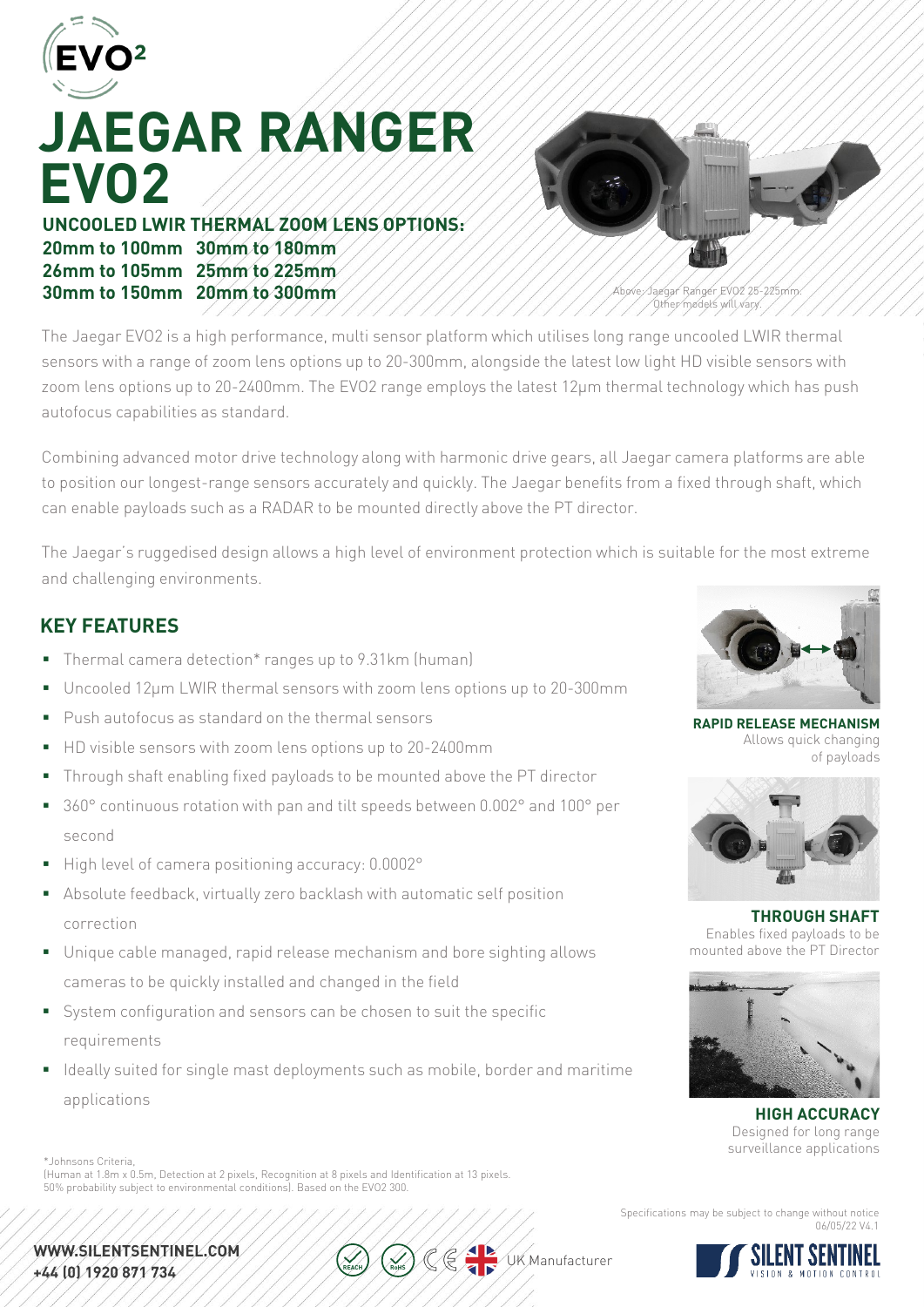

# **JAEGAR RANGER EVO2**

### **UNCOOLED LWIR THERMAL ZOOM LENS OPTIONS: 20mm to 100mm 30mm to 180mm 26mm to 105mm 25mm to 225mm 30mm to 150mm 20mm to 300mm**



Above: Jaegar Ranger EVO2 25-225mm. Other models will vary.

The Jaegar EVO2 is a high performance, multi sensor platform which utilises long range uncooled LWIR thermal sensors with a range of zoom lens options up to 20-300mm, alongside the latest low light HD visible sensors with zoom lens options up to 20-2400mm. The EVO2 range employs the latest 12μm thermal technology which has push autofocus capabilities as standard.

Combining advanced motor drive technology along with harmonic drive gears, all Jaegar camera platforms are able to position our longest-range sensors accurately and quickly. The Jaegar benefits from a fixed through shaft, which can enable payloads such as a RADAR to be mounted directly above the PT director.

The Jaegar's ruggedised design allows a high level of environment protection which is suitable for the most extreme and challenging environments.

## **KEY FEATURES**

- Thermal camera detection\* ranges up to 9.31km (human)
- Uncooled 12µm LWIR thermal sensors with zoom lens options up to 20-300mm
- **Push autofocus as standard on the thermal sensors**
- HD visible sensors with zoom lens options up to 20-2400mm
- Through shaft enabling fixed payloads to be mounted above the PT director
- 360° continuous rotation with pan and tilt speeds between 0.002° and 100° per second
- High level of camera positioning accuracy: 0.0002°
- Absolute feedback, virtually zero backlash with automatic self position correction
- Unique cable managed, rapid release mechanism and bore sighting allows cameras to be quickly installed and changed in the field
- System configuration and sensors can be chosen to suit the specific requirements
- I Ideally suited for single mast deployments such as mobile, border and maritime applications

\*Johnsons Criteria,

(Human at 1.8m x 0.5m, Detection at 2 pixels, Recognition at 8 pixels and Identification at 13 pixels. 50% probability subject to environmental conditions). Based on the EVO2 300.





**RAPID RELEASE MECHANISM** Allows quick changing of payloads



**THROUGH SHAFT** Enables fixed payloads to be mounted above the PT Director



**HIGH ACCURACY** Designed for long range surveillance applications

Specifications may be subject to change without notice 06/05/22 V4.1

**UK Manufacturer**